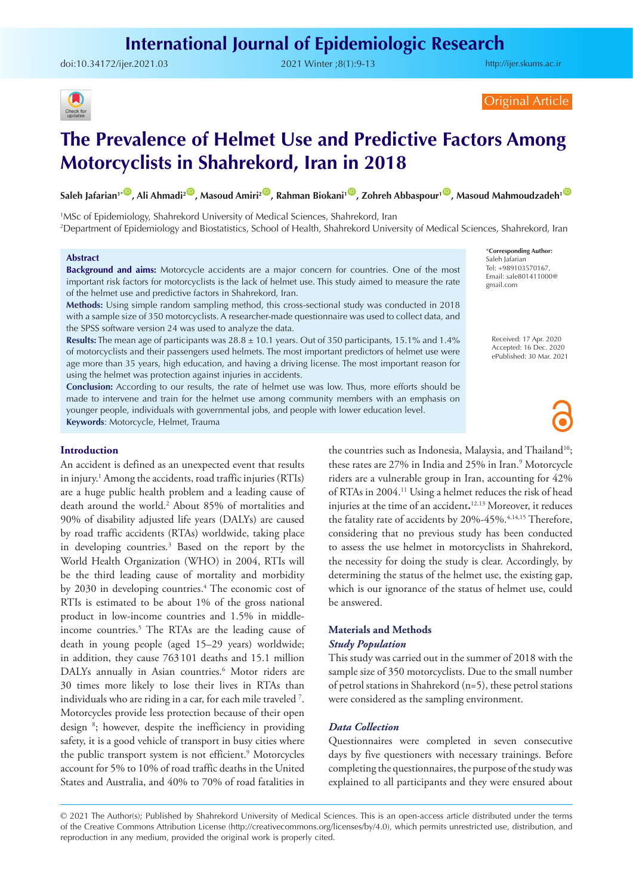# **International Journal of Epidemiologic Research**

doi:[10.34172/ijer.2021.03](https://doi.org/10.34172/ijer.2021.03) 2021 Winter ;8(1):9-13

<http://ijer.skums.ac.ir>



Original Article

# **The Prevalence of Helmet Use and Predictive Factors Among Motorcyclists in Shahrekord, Iran in 2018**

**Saleh Jafarian<sup>1</sub>. D</sup>, Ali Ahmadi<sup>2</sup> D, Masoud Amiri<sup>2</sup> D, Rahman Biokani<sup>1</sup> D, Zohreh Abbaspour<sup>1</sup> D, Masoud Mahmoudzadeh<sup>1</sup> D** 

1 MSc of Epidemiology, Shahrekord University of Medical Sciences, Shahrekord, Iran 2 Department of Epidemiology and Biostatistics, School of Health, Shahrekord University of Medical Sciences, Shahrekord, Iran

#### **Abstract**

**Background and aims:** Motorcycle accidents are a major concern for countries. One of the most important risk factors for motorcyclists is the lack of helmet use. This study aimed to measure the rate of the helmet use and predictive factors in Shahrekord, Iran.

**Methods:** Using simple random sampling method, this cross-sectional study was conducted in 2018 with a sample size of 350 motorcyclists. A researcher-made questionnaire was used to collect data, and the SPSS software version 24 was used to analyze the data.

**Results:** The mean age of participants was 28.8 ± 10.1 years. Out of 350 participants, 15.1% and 1.4% of motorcyclists and their passengers used helmets. The most important predictors of helmet use were age more than 35 years, high education, and having a driving license. The most important reason for using the helmet was protection against injuries in accidents.

**Conclusion:** According to our results, the rate of helmet use was low. Thus, more efforts should be made to intervene and train for the helmet use among community members with an emphasis on younger people, individuals with governmental jobs, and people with lower education level. **Keywords**: Motorcycle, Helmet, Trauma

#### **Introduction**

An accident is defined as an unexpected event that results in injury.1 Among the accidents, road traffic injuries (RTIs) are a huge public health problem and a leading cause of death around the world.2 About 85% of mortalities and 90% of disability adjusted life years (DALYs) are caused by road traffic accidents (RTAs) worldwide, taking place in developing countries.3 Based on the report by the World Health Organization (WHO) in 2004, RTIs will be the third leading cause of mortality and morbidity by 2030 in developing countries.<sup>4</sup> The economic cost of RTIs is estimated to be about 1% of the gross national product in low-income countries and 1.5% in middleincome countries.5 The RTAs are the leading cause of death in young people (aged 15–29 years) worldwide; in addition, they cause 763 101 deaths and 15.1 million DALYs annually in Asian countries.<sup>6</sup> Motor riders are 30 times more likely to lose their lives in RTAs than individuals who are riding in a car, for each mile traveled 7 . Motorcycles provide less protection because of their open design 8 ; however, despite the inefficiency in providing safety, it is a good vehicle of transport in busy cities where the public transport system is not efficient.<sup>9</sup> Motorcycles account for 5% to 10% of road traffic deaths in the United States and Australia, and 40% to 70% of road fatalities in

the countries such as Indonesia, Malaysia, and Thailand<sup>10</sup>; these rates are 27% in India and 25% in Iran.<sup>9</sup> Motorcycle riders are a vulnerable group in Iran, accounting for 42% of RTAs in 2004.11 Using a helmet reduces the risk of head injuries at the time of an accident**.** 12,13 Moreover, it reduces the fatality rate of accidents by  $20\% - 45\%$ ,  $4,14,15$  Therefore, considering that no previous study has been conducted to assess the use helmet in motorcyclists in Shahrekord, the necessity for doing the study is clear. Accordingly, by determining the status of the helmet use, the existing gap, which is our ignorance of the status of helmet use, could be answered.

# **Materials and Methods**  *Study Population*

This study was carried out in the summer of 2018 with the sample size of 350 motorcyclists. Due to the small number of petrol stations in Shahrekord (n=5), these petrol stations were considered as the sampling environment.

#### *Data Collection*

Questionnaires were completed in seven consecutive days by five questioners with necessary trainings. Before completing the questionnaires, the purpose of the study was explained to all participants and they were ensured about

© 2021 The Author(s); Published by Shahrekord University of Medical Sciences. This is an open-access article distributed under the terms of the Creative Commons Attribution License (http://creativecommons.org/licenses/by/4.0), which permits unrestricted use, distribution, and reproduction in any medium, provided the original work is properly cited.

\***Corresponding Author:** Saleh Jafarian Tel: +989103570167, Email: sale801411000@ gmail.com

> Received: 17 Apr. 2020 Accepted: 16 Dec. 2020 ePublished: 30 Mar. 2021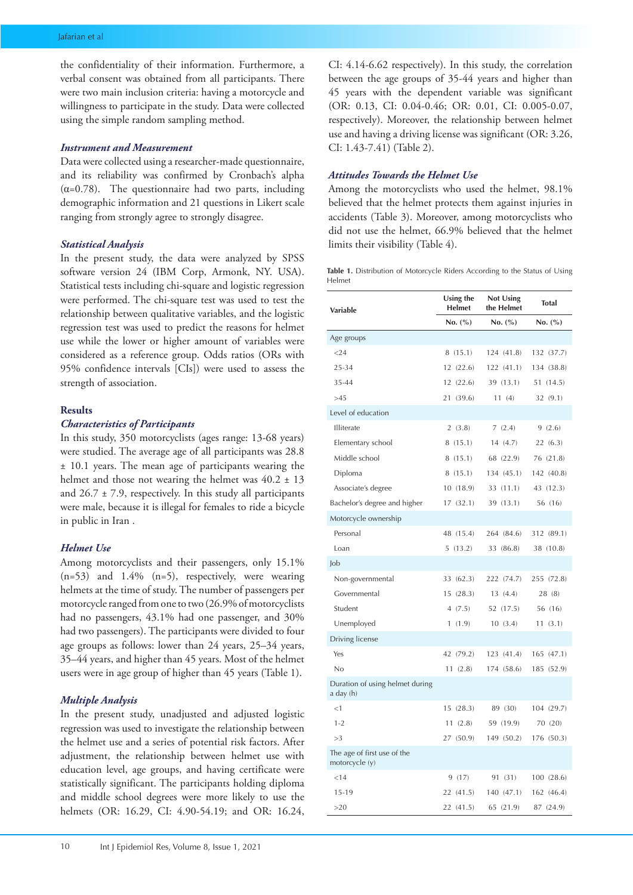the confidentiality of their information. Furthermore, a verbal consent was obtained from all participants. There were two main inclusion criteria: having a motorcycle and willingness to participate in the study. Data were collected using the simple random sampling method.

## *Instrument and Measurement*

Data were collected using a researcher-made questionnaire, and its reliability was confirmed by Cronbach's alpha ( $\alpha$ =0.78). The questionnaire had two parts, including demographic information and 21 questions in Likert scale ranging from strongly agree to strongly disagree.

#### *Statistical Analysis*

In the present study, the data were analyzed by SPSS software version 24 (IBM Corp, Armonk, NY. USA). Statistical tests including chi-square and logistic regression were performed. The chi-square test was used to test the relationship between qualitative variables, and the logistic regression test was used to predict the reasons for helmet use while the lower or higher amount of variables were considered as a reference group. Odds ratios (ORs with 95% confidence intervals [CIs]) were used to assess the strength of association.

#### **Results**

# *Characteristics of Participants*

In this study, 350 motorcyclists (ages range: 13-68 years) were studied. The average age of all participants was 28.8 ± 10.1 years. The mean age of participants wearing the helmet and those not wearing the helmet was  $40.2 \pm 13$ and 26.7 ± 7.9, respectively. In this study all participants were male, because it is illegal for females to ride a bicycle in public in Iran .

#### *Helmet Use*

Among motorcyclists and their passengers, only 15.1% (n=53) and 1.4% (n=5), respectively, were wearing helmets at the time of study. The number of passengers per motorcycle ranged from one to two (26.9% of motorcyclists had no passengers, 43.1% had one passenger, and 30% had two passengers). The participants were divided to four age groups as follows: lower than 24 years, 25–34 years, 35–44 years, and higher than 45 years. Most of the helmet users were in age group of higher than 45 years (Table 1).

#### *Multiple Analysis*

In the present study, unadjusted and adjusted logistic regression was used to investigate the relationship between the helmet use and a series of potential risk factors. After adjustment, the relationship between helmet use with education level, age groups, and having certificate were statistically significant. The participants holding diploma and middle school degrees were more likely to use the helmets (OR: 16.29, CI: 4.90-54.19; and OR: 16.24,

CI: 4.14-6.62 respectively). In this study, the correlation between the age groups of 35-44 years and higher than 45 years with the dependent variable was significant (OR: 0.13, CI: 0.04-0.46; OR: 0.01, CI: 0.005-0.07, respectively). Moreover, the relationship between helmet use and having a driving license was significant (OR: 3.26, CI: 1.43-7.41) (Table 2).

#### *Attitudes Towards the Helmet Use*

Among the motorcyclists who used the helmet, 98.1% believed that the helmet protects them against injuries in accidents (Table 3). Moreover, among motorcyclists who did not use the helmet, 66.9% believed that the helmet limits their visibility (Table 4).

**Table 1.** Distribution of Motorcycle Riders According to the Status of Using Helmet

| <b>Variable</b>                               | Using the<br><b>Helmet</b> | <b>Not Using</b><br>the Helmet | Total      |  |
|-----------------------------------------------|----------------------------|--------------------------------|------------|--|
|                                               | No. (%)                    | No. $(\% )$                    | No. (%)    |  |
| Age groups                                    |                            |                                |            |  |
| < 24                                          | 8(15.1)                    | 124 (41.8)                     | 132 (37.7) |  |
| 25-34                                         | 12(22.6)                   | 122 (41.1)                     | 134 (38.8) |  |
| 35-44                                         | 12(22.6)                   | 39 (13.1)                      | 51 (14.5)  |  |
| >4.5                                          | 21 (39.6)                  | 11(4)                          | 32(9.1)    |  |
| Level of education                            |                            |                                |            |  |
| Illiterate                                    | 2(3.8)                     | 7(2.4)                         | 9(2.6)     |  |
| Elementary school                             | 8(15.1)                    | 14 (4.7)                       | 22(6.3)    |  |
| Middle school                                 | 8(15.1)                    | 68 (22.9)                      | 76 (21.8)  |  |
| Diploma                                       | 8(15.1)                    | 134 (45.1)                     | 142 (40.8) |  |
| Associate's degree                            | 10(18.9)                   | 33 (11.1)                      | 43 (12.3)  |  |
| Bachelor's degree and higher                  | 17(32.1)                   | 39 (13.1)                      | 56 (16)    |  |
| Motorcycle ownership                          |                            |                                |            |  |
| Personal                                      | 48 (15.4)                  | 264 (84.6)                     | 312 (89.1) |  |
| Loan                                          | 5(13.2)                    | 33 (86.8)                      | 38 (10.8)  |  |
| Job                                           |                            |                                |            |  |
| Non-governmental                              | 33 (62.3)                  | 222 (74.7)                     | 255 (72.8) |  |
| Governmental                                  | 15(28.3)                   | 13(4.4)                        | 28 (8)     |  |
| Student                                       | 4(7.5)                     | 52 (17.5)                      | 56 (16)    |  |
| Unemployed                                    | 1(1.9)                     | 10(3.4)                        | 11(3.1)    |  |
| Driving license                               |                            |                                |            |  |
| Yes                                           | 42 (79.2)                  | 123 (41.4)                     | 165 (47.1) |  |
| No                                            | 11(2.8)                    | 174 (58.6)                     | 185 (52.9) |  |
| Duration of using helmet during<br>a day (h)  |                            |                                |            |  |
| <1                                            | 15(28.3)                   | 89 (30)                        | 104 (29.7) |  |
| $1 - 2$                                       | 11(2.8)                    | 59 (19.9)                      | 70 (20)    |  |
| >3                                            | 27 (50.9)                  | 149 (50.2)                     | 176 (50.3) |  |
| The age of first use of the<br>motorcycle (y) |                            |                                |            |  |
| < 14                                          | 9 (17)                     | 91 (31)                        | 100 (28.6) |  |
| $15 - 19$                                     | 22 (41.5)                  | 140 (47.1)                     | 162 (46.4) |  |
| >20                                           | 22 (41.5)                  | 65 (21.9)                      | 87 (24.9)  |  |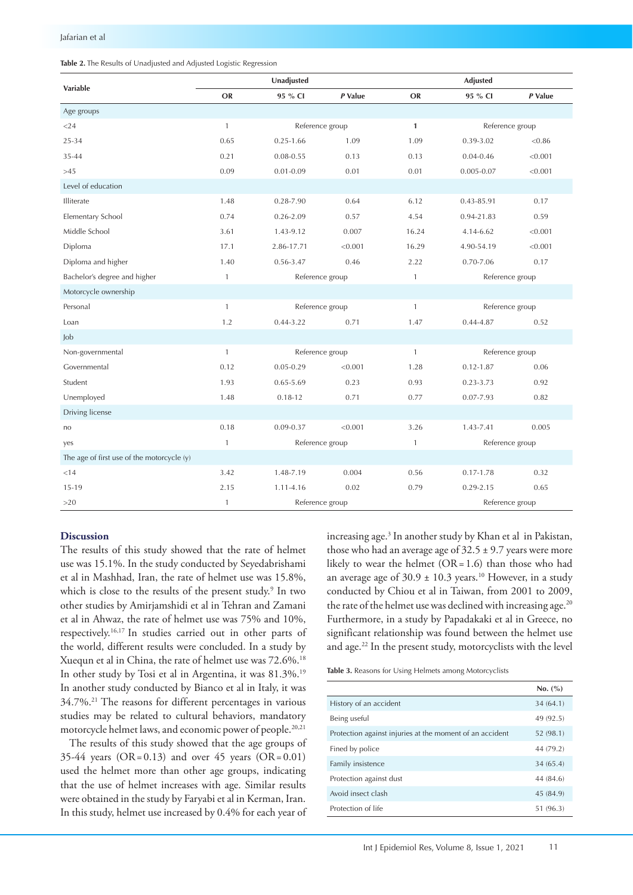# **Table 2.** The Results of Unadjusted and Adjusted Logistic Regression

| <b>Variable</b>                            | Unadjusted   |                 |                 |              | Adjusted        |         |  |
|--------------------------------------------|--------------|-----------------|-----------------|--------------|-----------------|---------|--|
|                                            | <b>OR</b>    | 95 % CI         | P Value         | <b>OR</b>    | 95 % CI         | P Value |  |
| Age groups                                 |              |                 |                 |              |                 |         |  |
| $<$ 24                                     | $\mathbf{1}$ |                 | Reference group |              | Reference group |         |  |
| 25-34                                      | 0.65         | $0.25 - 1.66$   | 1.09            | 1.09         | 0.39-3.02       | < 0.86  |  |
| 35-44                                      | 0.21         | $0.08 - 0.55$   | 0.13            | 0.13         | $0.04 - 0.46$   | < 0.001 |  |
| >45                                        | 0.09         | $0.01 - 0.09$   | 0.01            | 0.01         | $0.005 - 0.07$  | < 0.001 |  |
| Level of education                         |              |                 |                 |              |                 |         |  |
| <b>Illiterate</b>                          | 1.48         | $0.28 - 7.90$   | 0.64            | 6.12         | 0.43-85.91      | 0.17    |  |
| Elementary School                          | 0.74         | $0.26 - 2.09$   | 0.57            | 4.54         | 0.94-21.83      | 0.59    |  |
| Middle School                              | 3.61         | 1.43-9.12       | 0.007           | 16.24        | 4.14-6.62       | < 0.001 |  |
| Diploma                                    | 17.1         | 2.86-17.71      | < 0.001         | 16.29        | 4.90-54.19      | < 0.001 |  |
| Diploma and higher                         | 1.40         | 0.56-3.47       | 0.46            | 2.22         | $0.70 - 7.06$   | 0.17    |  |
| Bachelor's degree and higher               | $\mathbf{1}$ |                 | Reference group |              | Reference group |         |  |
| Motorcycle ownership                       |              |                 |                 |              |                 |         |  |
| Personal                                   | $\mathbf{1}$ |                 | Reference group |              | Reference group |         |  |
| Loan                                       | 1.2          | $0.44 - 3.22$   | 0.71            | 1.47         | $0.44 - 4.87$   | 0.52    |  |
| Job                                        |              |                 |                 |              |                 |         |  |
| Non-governmental                           | $\mathbf{1}$ | Reference group |                 | $\mathbf{1}$ | Reference group |         |  |
| Governmental                               | 0.12         | $0.05 - 0.29$   | < 0.001         | 1.28         | $0.12 - 1.87$   | 0.06    |  |
| Student                                    | 1.93         | $0.65 - 5.69$   | 0.23            | 0.93         | $0.23 - 3.73$   | 0.92    |  |
| Unemployed                                 | 1.48         | $0.18 - 12$     | 0.71            | 0.77         | $0.07 - 7.93$   | 0.82    |  |
| Driving license                            |              |                 |                 |              |                 |         |  |
| no                                         | 0.18         | $0.09 - 0.37$   | < 0.001         | 3.26         | $1.43 - 7.41$   | 0.005   |  |
| yes                                        | $\mathbf{1}$ |                 | Reference group |              | Reference group |         |  |
| The age of first use of the motorcycle (y) |              |                 |                 |              |                 |         |  |
| < 14                                       | 3.42         | 1.48-7.19       | 0.004           | 0.56         | $0.17 - 1.78$   | 0.32    |  |
| $15-19$                                    | 2.15         | 1.11-4.16       | 0.02            | 0.79         | $0.29 - 2.15$   | 0.65    |  |
| >20                                        | $\mathbf{1}$ | Reference group |                 |              | Reference group |         |  |

#### **Discussion**

The results of this study showed that the rate of helmet use was 15.1%. In the study conducted by Seyedabrishami et al in Mashhad, Iran, the rate of helmet use was 15.8%, which is close to the results of the present study.<sup>9</sup> In two other studies by Amirjamshidi et al in Tehran and Zamani et al in Ahwaz, the rate of helmet use was 75% and 10%, respectively.16,17 In studies carried out in other parts of the world, different results were concluded. In a study by Xuequn et al in China, the rate of helmet use was 72.6%.18 In other study by Tosi et al in Argentina, it was 81.3%.<sup>19</sup> In another study conducted by Bianco et al in Italy, it was 34.7%.21 The reasons for different percentages in various studies may be related to cultural behaviors, mandatory motorcycle helmet laws, and economic power of people.20,21

The results of this study showed that the age groups of 35-44 years  $(OR = 0.13)$  and over 45 years  $(OR = 0.01)$ used the helmet more than other age groups, indicating that the use of helmet increases with age. Similar results were obtained in the study by Faryabi et al in Kerman, Iran. In this study, helmet use increased by 0.4% for each year of increasing age.3 In another study by Khan et al in Pakistan, those who had an average age of  $32.5 \pm 9.7$  years were more likely to wear the helmet  $(OR=1.6)$  than those who had an average age of  $30.9 \pm 10.3$  years.<sup>10</sup> However, in a study conducted by Chiou et al in Taiwan, from 2001 to 2009, the rate of the helmet use was declined with increasing age.<sup>20</sup> Furthermore, in a study by Papadakaki et al in Greece, no significant relationship was found between the helmet use and age.22 In the present study, motorcyclists with the level

**Table 3.** Reasons for Using Helmets among Motorcyclists

|                                                          | No. (%)   |
|----------------------------------------------------------|-----------|
| History of an accident                                   | 34(64.1)  |
| Being useful                                             | 49 (92.5) |
| Protection against injuries at the moment of an accident | 52 (98.1) |
| Fined by police                                          | 44 (79.2) |
| Family insistence                                        | 34(65.4)  |
| Protection against dust                                  | 44 (84.6) |
| Avoid insect clash                                       | 45 (84.9) |
| Protection of life                                       | 51 (96.3) |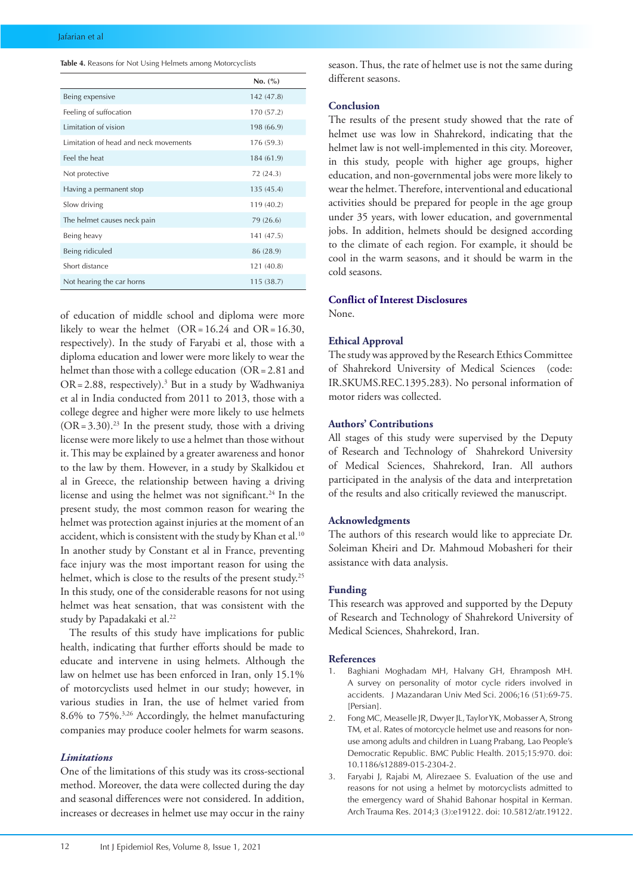**Table 4.** Reasons for Not Using Helmets among Motorcyclists

|                                       | No. (%)    |
|---------------------------------------|------------|
| Being expensive                       | 142 (47.8) |
| Feeling of suffocation                | 170 (57.2) |
| Limitation of vision                  | 198 (66.9) |
| Limitation of head and neck movements | 176 (59.3) |
| Feel the heat                         | 184 (61.9) |
| Not protective                        | 72 (24.3)  |
| Having a permanent stop               | 135(45.4)  |
| Slow driving                          | 119 (40.2) |
| The helmet causes neck pain           | 79 (26.6)  |
| Being heavy                           | 141 (47.5) |
| Being ridiculed                       | 86 (28.9)  |
| Short distance                        | 121 (40.8) |
| Not hearing the car horns             | 115(38.7)  |

of education of middle school and diploma were more likely to wear the helmet (OR=16.24 and OR=16.30, respectively). In the study of Faryabi et al, those with a diploma education and lower were more likely to wear the helmet than those with a college education (OR = 2.81 and OR=2.88, respectively).3 But in a study by Wadhwaniya et al in India conducted from 2011 to 2013, those with a college degree and higher were more likely to use helmets  $(OR = 3.30).^{23}$  In the present study, those with a driving license were more likely to use a helmet than those without it. This may be explained by a greater awareness and honor to the law by them. However, in a study by Skalkidou et al in Greece, the relationship between having a driving license and using the helmet was not significant.<sup>24</sup> In the present study, the most common reason for wearing the helmet was protection against injuries at the moment of an accident, which is consistent with the study by Khan et al.<sup>10</sup> In another study by Constant et al in France, preventing face injury was the most important reason for using the helmet, which is close to the results of the present study.<sup>25</sup> In this study, one of the considerable reasons for not using helmet was heat sensation, that was consistent with the study by Papadakaki et al.<sup>22</sup>

The results of this study have implications for public health, indicating that further efforts should be made to educate and intervene in using helmets. Although the law on helmet use has been enforced in Iran, only 15.1% of motorcyclists used helmet in our study; however, in various studies in Iran, the use of helmet varied from 8.6% to 75%.3,26 Accordingly, the helmet manufacturing companies may produce cooler helmets for warm seasons.

#### *Limitations*

One of the limitations of this study was its cross-sectional method. Moreover, the data were collected during the day and seasonal differences were not considered. In addition, increases or decreases in helmet use may occur in the rainy season. Thus, the rate of helmet use is not the same during different seasons.

#### **Conclusion**

The results of the present study showed that the rate of helmet use was low in Shahrekord, indicating that the helmet law is not well-implemented in this city. Moreover, in this study, people with higher age groups, higher education, and non-governmental jobs were more likely to wear the helmet. Therefore, interventional and educational activities should be prepared for people in the age group under 35 years, with lower education, and governmental jobs. In addition, helmets should be designed according to the climate of each region. For example, it should be cool in the warm seasons, and it should be warm in the cold seasons.

# **Conflict of Interest Disclosures**

None.

#### **Ethical Approval**

The study was approved by the Research Ethics Committee of Shahrekord University of Medical Sciences (code: IR.SKUMS.REC.1395.283). No personal information of motor riders was collected.

## **Authors' Contributions**

All stages of this study were supervised by the Deputy of Research and Technology of Shahrekord University of Medical Sciences, Shahrekord, Iran. All authors participated in the analysis of the data and interpretation of the results and also critically reviewed the manuscript.

#### **Acknowledgments**

The authors of this research would like to appreciate Dr. Soleiman Kheiri and Dr. Mahmoud Mobasheri for their assistance with data analysis.

#### **Funding**

This research was approved and supported by the Deputy of Research and Technology of Shahrekord University of Medical Sciences, Shahrekord, Iran.

#### **References**

- 1. Baghiani Moghadam MH, Halvany GH, Ehramposh MH. A survey on personality of motor cycle riders involved in accidents. J Mazandaran Univ Med Sci. 2006;16 (51):69-75. [Persian].
- 2. Fong MC, Measelle JR, Dwyer JL, Taylor YK, Mobasser A, Strong TM, et al. Rates of motorcycle helmet use and reasons for nonuse among adults and children in Luang Prabang, Lao People's Democratic Republic. BMC Public Health. 2015;15:970. doi: 10.1186/s12889-015-2304-2.
- 3. Faryabi J, Rajabi M, Alirezaee S. Evaluation of the use and reasons for not using a helmet by motorcyclists admitted to the emergency ward of Shahid Bahonar hospital in Kerman. Arch Trauma Res. 2014;3 (3):e19122. doi: 10.5812/atr.19122.